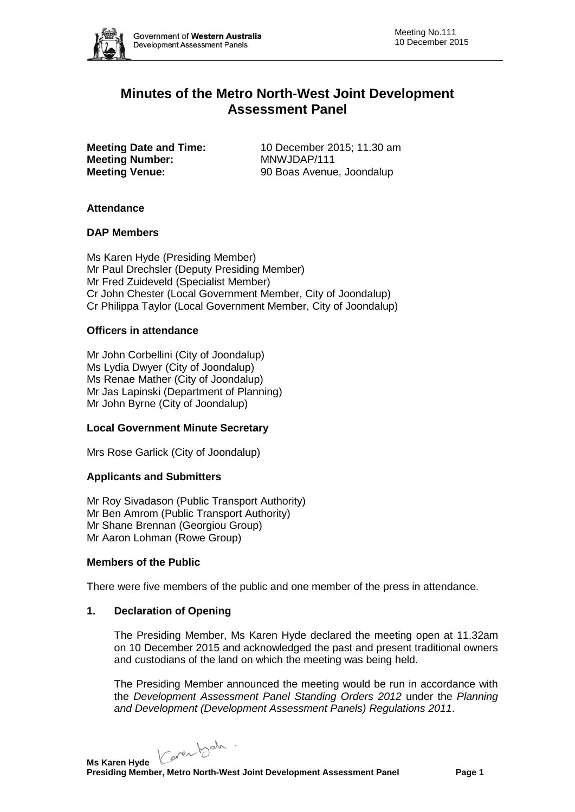

# **Minutes of the Metro North-West Joint Development Assessment Panel**

**Meeting Number:** MNWJDAP/111<br> **Meeting Venue:** 90 Boas Avenue

**Meeting Date and Time:** 10 December 2015; 11.30 am **Meeting Venue:** 90 Boas Avenue, Joondalup

### **Attendance**

### **DAP Members**

Ms Karen Hyde (Presiding Member) Mr Paul Drechsler (Deputy Presiding Member) Mr Fred Zuideveld (Specialist Member) Cr John Chester (Local Government Member, City of Joondalup) Cr Philippa Taylor (Local Government Member, City of Joondalup)

### **Officers in attendance**

Mr John Corbellini (City of Joondalup) Ms Lydia Dwyer (City of Joondalup) Ms Renae Mather (City of Joondalup) Mr Jas Lapinski (Department of Planning) Mr John Byrne (City of Joondalup)

# **Local Government Minute Secretary**

Mrs Rose Garlick (City of Joondalup)

# **Applicants and Submitters**

Mr Roy Sivadason (Public Transport Authority) Mr Ben Amrom (Public Transport Authority) Mr Shane Brennan (Georgiou Group) Mr Aaron Lohman (Rowe Group)

#### **Members of the Public**

There were five members of the public and one member of the press in attendance.

### **1. Declaration of Opening**

The Presiding Member, Ms Karen Hyde declared the meeting open at 11.32am on 10 December 2015 and acknowledged the past and present traditional owners and custodians of the land on which the meeting was being held.

The Presiding Member announced the meeting would be run in accordance with the *Development Assessment Panel Standing Orders 2012* under the *Planning and Development (Development Assessment Panels) Regulations 2011*.

Caren beh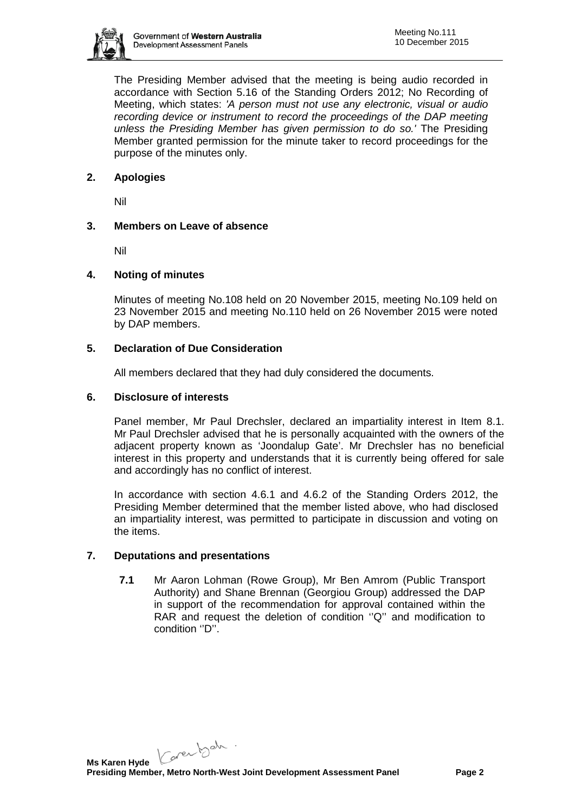

The Presiding Member advised that the meeting is being audio recorded in accordance with Section 5.16 of the Standing Orders 2012; No Recording of Meeting, which states: *'A person must not use any electronic, visual or audio recording device or instrument to record the proceedings of the DAP meeting unless the Presiding Member has given permission to do so.'* The Presiding Member granted permission for the minute taker to record proceedings for the purpose of the minutes only.

# **2. Apologies**

Nil

# **3. Members on Leave of absence**

Nil

# **4. Noting of minutes**

Minutes of meeting No.108 held on 20 November 2015, meeting No.109 held on 23 November 2015 and meeting No.110 held on 26 November 2015 were noted by DAP members.

# **5. Declaration of Due Consideration**

All members declared that they had duly considered the documents.

### **6. Disclosure of interests**

Panel member, Mr Paul Drechsler, declared an impartiality interest in Item 8.1. Mr Paul Drechsler advised that he is personally acquainted with the owners of the adjacent property known as 'Joondalup Gate'. Mr Drechsler has no beneficial interest in this property and understands that it is currently being offered for sale and accordingly has no conflict of interest.

In accordance with section 4.6.1 and 4.6.2 of the Standing Orders 2012, the Presiding Member determined that the member listed above, who had disclosed an impartiality interest, was permitted to participate in discussion and voting on the items.

# **7. Deputations and presentations**

**7.1** Mr Aaron Lohman (Rowe Group), Mr Ben Amrom (Public Transport Authority) and Shane Brennan (Georgiou Group) addressed the DAP in support of the recommendation for approval contained within the RAR and request the deletion of condition "Q" and modification to condition ''D''.

Carentsch.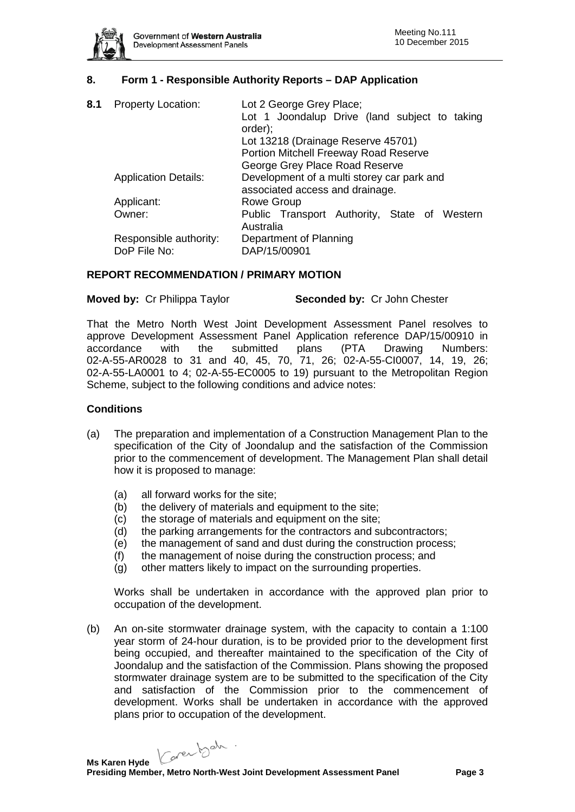

# **8. Form 1 - Responsible Authority Reports – DAP Application**

| 8.1 | <b>Property Location:</b>   | Lot 2 George Grey Place;<br>Lot 1 Joondalup Drive (land subject to taking     |
|-----|-----------------------------|-------------------------------------------------------------------------------|
|     |                             | order);                                                                       |
|     |                             | Lot 13218 (Drainage Reserve 45701)                                            |
|     |                             | Portion Mitchell Freeway Road Reserve                                         |
|     |                             | George Grey Place Road Reserve                                                |
|     | <b>Application Details:</b> | Development of a multi storey car park and<br>associated access and drainage. |
|     | Applicant:                  | <b>Rowe Group</b>                                                             |
|     | Owner:                      | Public Transport Authority, State of Western<br>Australia                     |
|     | Responsible authority:      | Department of Planning                                                        |
|     | DoP File No:                | DAP/15/00901                                                                  |

### **REPORT RECOMMENDATION / PRIMARY MOTION**

#### **Moved by:** Cr Philippa Taylor **Seconded by:** Cr John Chester

That the Metro North West Joint Development Assessment Panel resolves to approve Development Assessment Panel Application reference DAP/15/00910 in accordance with the submitted plans (PTA Drawing Numbers: 02-A-55-AR0028 to 31 and 40, 45, 70, 71, 26; 02-A-55-CI0007, 14, 19, 26; 02-A-55-LA0001 to 4; 02-A-55-EC0005 to 19) pursuant to the Metropolitan Region Scheme, subject to the following conditions and advice notes:

#### **Conditions**

- (a) The preparation and implementation of a Construction Management Plan to the specification of the City of Joondalup and the satisfaction of the Commission prior to the commencement of development. The Management Plan shall detail how it is proposed to manage:
	- (a) all forward works for the site;
	- (b) the delivery of materials and equipment to the site;
	- (c) the storage of materials and equipment on the site;
	- (d) the parking arrangements for the contractors and subcontractors;
	- (e) the management of sand and dust during the construction process;
	- (f) the management of noise during the construction process; and
	- (g) other matters likely to impact on the surrounding properties.

Works shall be undertaken in accordance with the approved plan prior to occupation of the development.

(b) An on-site stormwater drainage system, with the capacity to contain a 1:100 year storm of 24-hour duration, is to be provided prior to the development first being occupied, and thereafter maintained to the specification of the City of Joondalup and the satisfaction of the Commission. Plans showing the proposed stormwater drainage system are to be submitted to the specification of the City and satisfaction of the Commission prior to the commencement of development. Works shall be undertaken in accordance with the approved plans prior to occupation of the development.

Carentsch.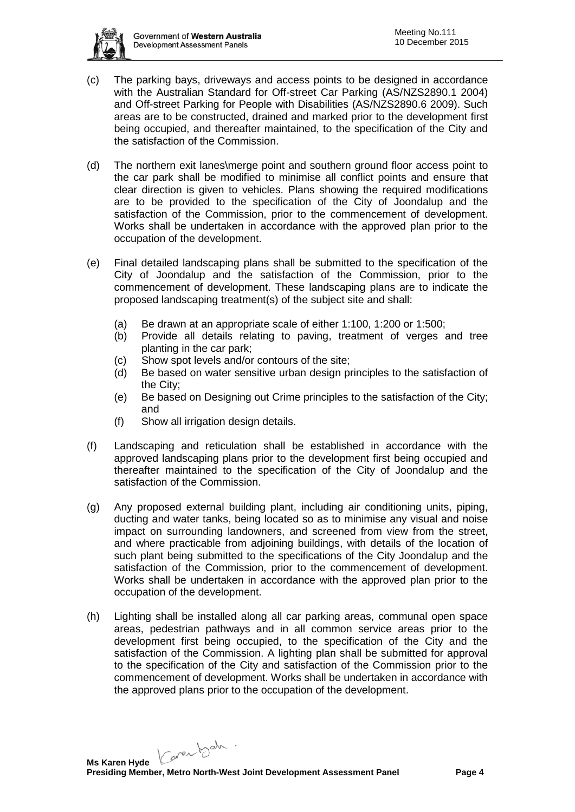

- (c) The parking bays, driveways and access points to be designed in accordance with the Australian Standard for Off-street Car Parking (AS/NZS2890.1 2004) and Off-street Parking for People with Disabilities (AS/NZS2890.6 2009). Such areas are to be constructed, drained and marked prior to the development first being occupied, and thereafter maintained, to the specification of the City and the satisfaction of the Commission.
- (d) The northern exit lanes\merge point and southern ground floor access point to the car park shall be modified to minimise all conflict points and ensure that clear direction is given to vehicles. Plans showing the required modifications are to be provided to the specification of the City of Joondalup and the satisfaction of the Commission, prior to the commencement of development. Works shall be undertaken in accordance with the approved plan prior to the occupation of the development.
- (e) Final detailed landscaping plans shall be submitted to the specification of the City of Joondalup and the satisfaction of the Commission, prior to the commencement of development. These landscaping plans are to indicate the proposed landscaping treatment(s) of the subject site and shall:
	- (a) Be drawn at an appropriate scale of either 1:100, 1:200 or 1:500;
	- (b) Provide all details relating to paving, treatment of verges and tree planting in the car park;
	- (c) Show spot levels and/or contours of the site;
	- (d) Be based on water sensitive urban design principles to the satisfaction of the City;
	- (e) Be based on Designing out Crime principles to the satisfaction of the City; and
	- (f) Show all irrigation design details.
- (f) Landscaping and reticulation shall be established in accordance with the approved landscaping plans prior to the development first being occupied and thereafter maintained to the specification of the City of Joondalup and the satisfaction of the Commission.
- (g) Any proposed external building plant, including air conditioning units, piping, ducting and water tanks, being located so as to minimise any visual and noise impact on surrounding landowners, and screened from view from the street, and where practicable from adjoining buildings, with details of the location of such plant being submitted to the specifications of the City Joondalup and the satisfaction of the Commission, prior to the commencement of development. Works shall be undertaken in accordance with the approved plan prior to the occupation of the development.
- (h) Lighting shall be installed along all car parking areas, communal open space areas, pedestrian pathways and in all common service areas prior to the development first being occupied, to the specification of the City and the satisfaction of the Commission. A lighting plan shall be submitted for approval to the specification of the City and satisfaction of the Commission prior to the commencement of development. Works shall be undertaken in accordance with the approved plans prior to the occupation of the development.

Carentsch.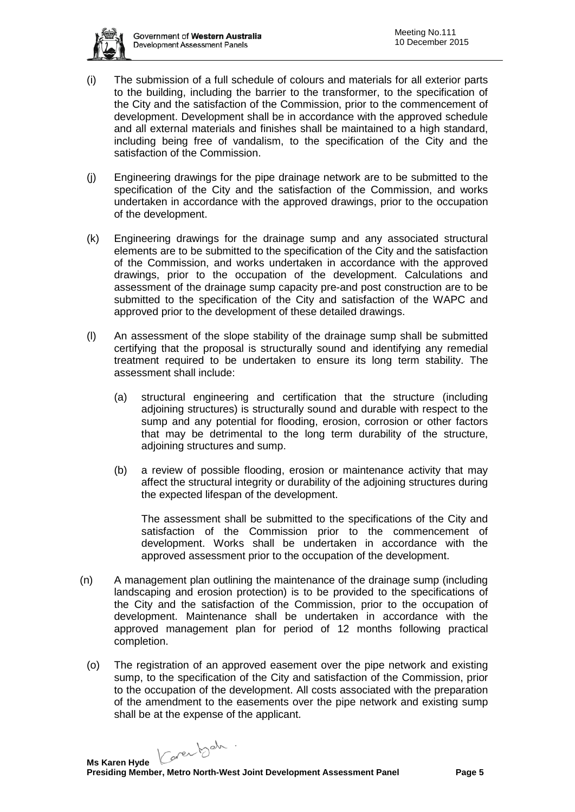

- (i) The submission of a full schedule of colours and materials for all exterior parts to the building, including the barrier to the transformer, to the specification of the City and the satisfaction of the Commission, prior to the commencement of development. Development shall be in accordance with the approved schedule and all external materials and finishes shall be maintained to a high standard, including being free of vandalism, to the specification of the City and the satisfaction of the Commission.
- (j) Engineering drawings for the pipe drainage network are to be submitted to the specification of the City and the satisfaction of the Commission, and works undertaken in accordance with the approved drawings, prior to the occupation of the development.
- (k) Engineering drawings for the drainage sump and any associated structural elements are to be submitted to the specification of the City and the satisfaction of the Commission, and works undertaken in accordance with the approved drawings, prior to the occupation of the development. Calculations and assessment of the drainage sump capacity pre-and post construction are to be submitted to the specification of the City and satisfaction of the WAPC and approved prior to the development of these detailed drawings.
- (l) An assessment of the slope stability of the drainage sump shall be submitted certifying that the proposal is structurally sound and identifying any remedial treatment required to be undertaken to ensure its long term stability. The assessment shall include:
	- (a) structural engineering and certification that the structure (including adjoining structures) is structurally sound and durable with respect to the sump and any potential for flooding, erosion, corrosion or other factors that may be detrimental to the long term durability of the structure, adjoining structures and sump.
	- (b) a review of possible flooding, erosion or maintenance activity that may affect the structural integrity or durability of the adjoining structures during the expected lifespan of the development.

The assessment shall be submitted to the specifications of the City and satisfaction of the Commission prior to the commencement of development. Works shall be undertaken in accordance with the approved assessment prior to the occupation of the development.

- (n) A management plan outlining the maintenance of the drainage sump (including landscaping and erosion protection) is to be provided to the specifications of the City and the satisfaction of the Commission, prior to the occupation of development. Maintenance shall be undertaken in accordance with the approved management plan for period of 12 months following practical completion.
	- (o) The registration of an approved easement over the pipe network and existing sump, to the specification of the City and satisfaction of the Commission, prior to the occupation of the development. All costs associated with the preparation of the amendment to the easements over the pipe network and existing sump shall be at the expense of the applicant.

Carentsch.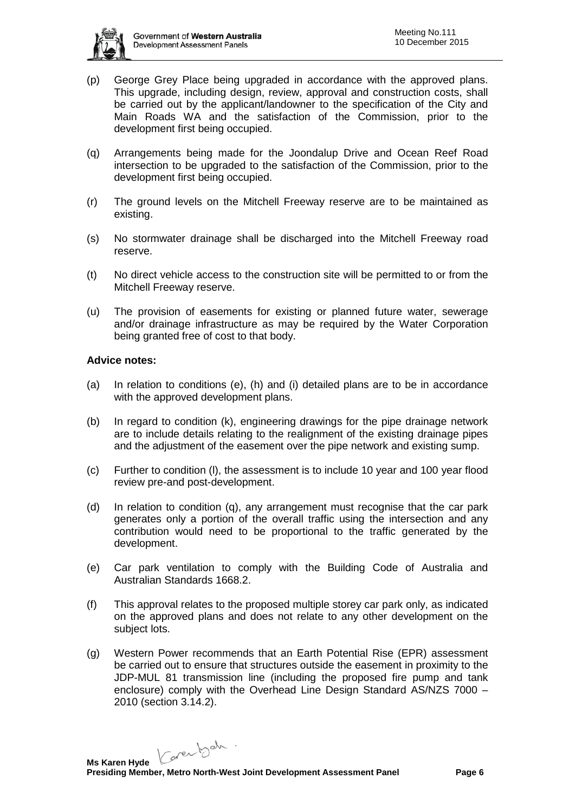

- (p) George Grey Place being upgraded in accordance with the approved plans. This upgrade, including design, review, approval and construction costs, shall be carried out by the applicant/landowner to the specification of the City and Main Roads WA and the satisfaction of the Commission, prior to the development first being occupied.
- (q) Arrangements being made for the Joondalup Drive and Ocean Reef Road intersection to be upgraded to the satisfaction of the Commission, prior to the development first being occupied.
- (r) The ground levels on the Mitchell Freeway reserve are to be maintained as existing.
- (s) No stormwater drainage shall be discharged into the Mitchell Freeway road reserve.
- (t) No direct vehicle access to the construction site will be permitted to or from the Mitchell Freeway reserve.
- (u) The provision of easements for existing or planned future water, sewerage and/or drainage infrastructure as may be required by the Water Corporation being granted free of cost to that body.

### **Advice notes:**

- (a) In relation to conditions (e), (h) and (i) detailed plans are to be in accordance with the approved development plans.
- (b) In regard to condition (k), engineering drawings for the pipe drainage network are to include details relating to the realignment of the existing drainage pipes and the adjustment of the easement over the pipe network and existing sump.
- (c) Further to condition (l), the assessment is to include 10 year and 100 year flood review pre-and post-development.
- (d) In relation to condition (q), any arrangement must recognise that the car park generates only a portion of the overall traffic using the intersection and any contribution would need to be proportional to the traffic generated by the development.
- (e) Car park ventilation to comply with the Building Code of Australia and Australian Standards 1668.2.
- (f) This approval relates to the proposed multiple storey car park only, as indicated on the approved plans and does not relate to any other development on the subject lots.
- (g) Western Power recommends that an Earth Potential Rise (EPR) assessment be carried out to ensure that structures outside the easement in proximity to the JDP-MUL 81 transmission line (including the proposed fire pump and tank enclosure) comply with the Overhead Line Design Standard AS/NZS 7000 – 2010 (section 3.14.2).

Carentsch.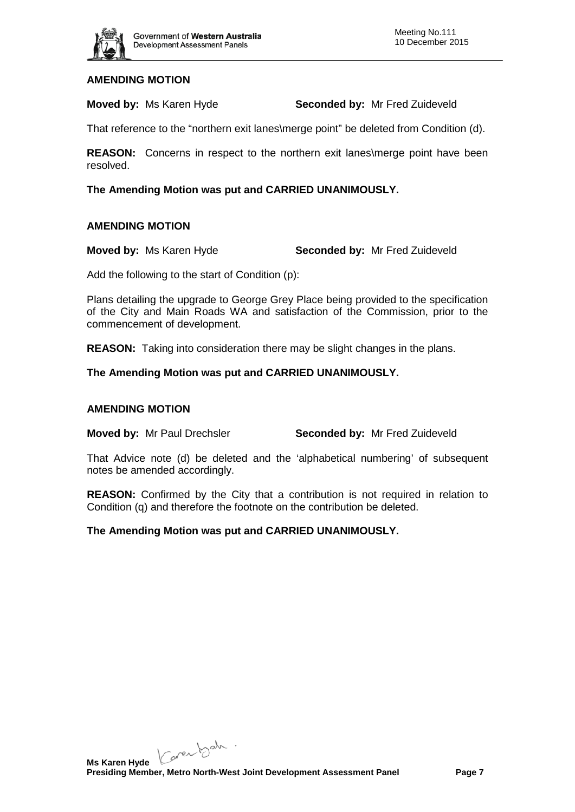

# **AMENDING MOTION**

**Moved by:** Ms Karen Hyde **Seconded by:** Mr Fred Zuideveld

That reference to the "northern exit lanes\merge point" be deleted from Condition (d).

**REASON:** Concerns in respect to the northern exit lanes\merge point have been resolved.

**The Amending Motion was put and CARRIED UNANIMOUSLY.**

### **AMENDING MOTION**

**Moved by:** Ms Karen Hyde **Seconded by:** Mr Fred Zuideveld

Add the following to the start of Condition (p):

Plans detailing the upgrade to George Grey Place being provided to the specification of the City and Main Roads WA and satisfaction of the Commission, prior to the commencement of development.

**REASON:** Taking into consideration there may be slight changes in the plans.

**The Amending Motion was put and CARRIED UNANIMOUSLY.**

#### **AMENDING MOTION**

**Moved by:** Mr Paul Drechsler **Seconded by:** Mr Fred Zuideveld

That Advice note (d) be deleted and the 'alphabetical numbering' of subsequent notes be amended accordingly.

**REASON:** Confirmed by the City that a contribution is not required in relation to Condition (q) and therefore the footnote on the contribution be deleted.

# **The Amending Motion was put and CARRIED UNANIMOUSLY.**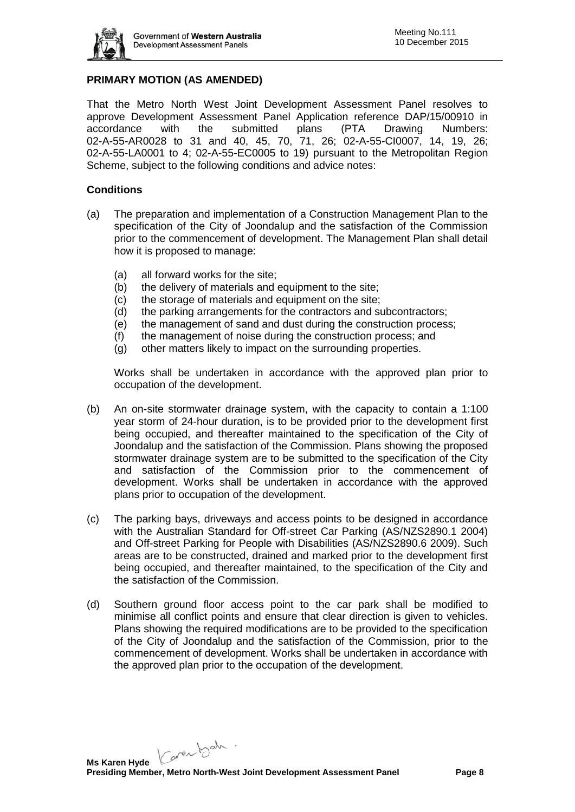

# **PRIMARY MOTION (AS AMENDED)**

That the Metro North West Joint Development Assessment Panel resolves to approve Development Assessment Panel Application reference DAP/15/00910 in accordance with the submitted plans (PTA Drawing Numbers: 02-A-55-AR0028 to 31 and 40, 45, 70, 71, 26; 02-A-55-CI0007, 14, 19, 26; 02-A-55-LA0001 to 4; 02-A-55-EC0005 to 19) pursuant to the Metropolitan Region Scheme, subject to the following conditions and advice notes:

### **Conditions**

- (a) The preparation and implementation of a Construction Management Plan to the specification of the City of Joondalup and the satisfaction of the Commission prior to the commencement of development. The Management Plan shall detail how it is proposed to manage:
	- (a) all forward works for the site;
	- (b) the delivery of materials and equipment to the site;
	- (c) the storage of materials and equipment on the site;
	- (d) the parking arrangements for the contractors and subcontractors;
	- (e) the management of sand and dust during the construction process;
	- (f) the management of noise during the construction process; and
	- (g) other matters likely to impact on the surrounding properties.

Works shall be undertaken in accordance with the approved plan prior to occupation of the development.

- (b) An on-site stormwater drainage system, with the capacity to contain a 1:100 year storm of 24-hour duration, is to be provided prior to the development first being occupied, and thereafter maintained to the specification of the City of Joondalup and the satisfaction of the Commission. Plans showing the proposed stormwater drainage system are to be submitted to the specification of the City and satisfaction of the Commission prior to the commencement of development. Works shall be undertaken in accordance with the approved plans prior to occupation of the development.
- (c) The parking bays, driveways and access points to be designed in accordance with the Australian Standard for Off-street Car Parking (AS/NZS2890.1 2004) and Off-street Parking for People with Disabilities (AS/NZS2890.6 2009). Such areas are to be constructed, drained and marked prior to the development first being occupied, and thereafter maintained, to the specification of the City and the satisfaction of the Commission.
- (d) Southern ground floor access point to the car park shall be modified to minimise all conflict points and ensure that clear direction is given to vehicles. Plans showing the required modifications are to be provided to the specification of the City of Joondalup and the satisfaction of the Commission, prior to the commencement of development. Works shall be undertaken in accordance with the approved plan prior to the occupation of the development.

Carentsch.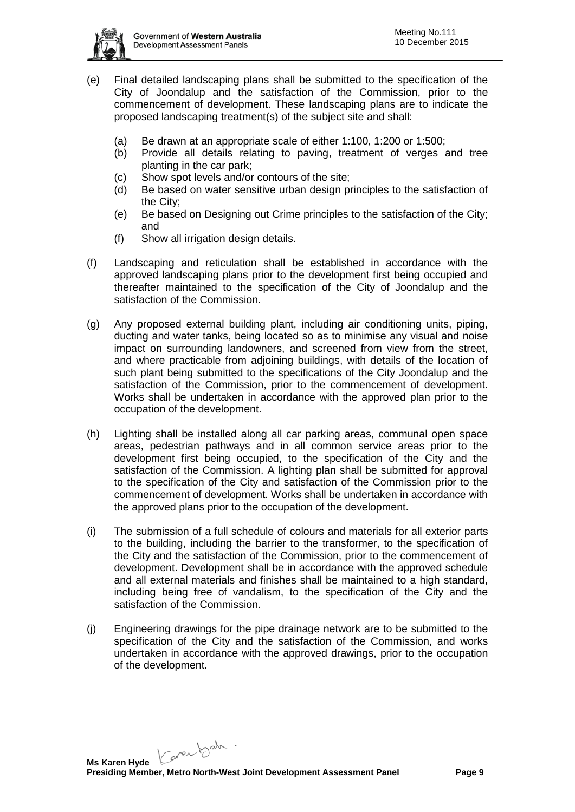

- (e) Final detailed landscaping plans shall be submitted to the specification of the City of Joondalup and the satisfaction of the Commission, prior to the commencement of development. These landscaping plans are to indicate the proposed landscaping treatment(s) of the subject site and shall:
	- (a) Be drawn at an appropriate scale of either 1:100, 1:200 or 1:500;
	- (b) Provide all details relating to paving, treatment of verges and tree planting in the car park;
	- (c) Show spot levels and/or contours of the site;
	- (d) Be based on water sensitive urban design principles to the satisfaction of the City;
	- (e) Be based on Designing out Crime principles to the satisfaction of the City; and
	- (f) Show all irrigation design details.
- (f) Landscaping and reticulation shall be established in accordance with the approved landscaping plans prior to the development first being occupied and thereafter maintained to the specification of the City of Joondalup and the satisfaction of the Commission.
- (g) Any proposed external building plant, including air conditioning units, piping, ducting and water tanks, being located so as to minimise any visual and noise impact on surrounding landowners, and screened from view from the street, and where practicable from adjoining buildings, with details of the location of such plant being submitted to the specifications of the City Joondalup and the satisfaction of the Commission, prior to the commencement of development. Works shall be undertaken in accordance with the approved plan prior to the occupation of the development.
- (h) Lighting shall be installed along all car parking areas, communal open space areas, pedestrian pathways and in all common service areas prior to the development first being occupied, to the specification of the City and the satisfaction of the Commission. A lighting plan shall be submitted for approval to the specification of the City and satisfaction of the Commission prior to the commencement of development. Works shall be undertaken in accordance with the approved plans prior to the occupation of the development.
- (i) The submission of a full schedule of colours and materials for all exterior parts to the building, including the barrier to the transformer, to the specification of the City and the satisfaction of the Commission, prior to the commencement of development. Development shall be in accordance with the approved schedule and all external materials and finishes shall be maintained to a high standard, including being free of vandalism, to the specification of the City and the satisfaction of the Commission.
- (j) Engineering drawings for the pipe drainage network are to be submitted to the specification of the City and the satisfaction of the Commission, and works undertaken in accordance with the approved drawings, prior to the occupation of the development.

Carentsch.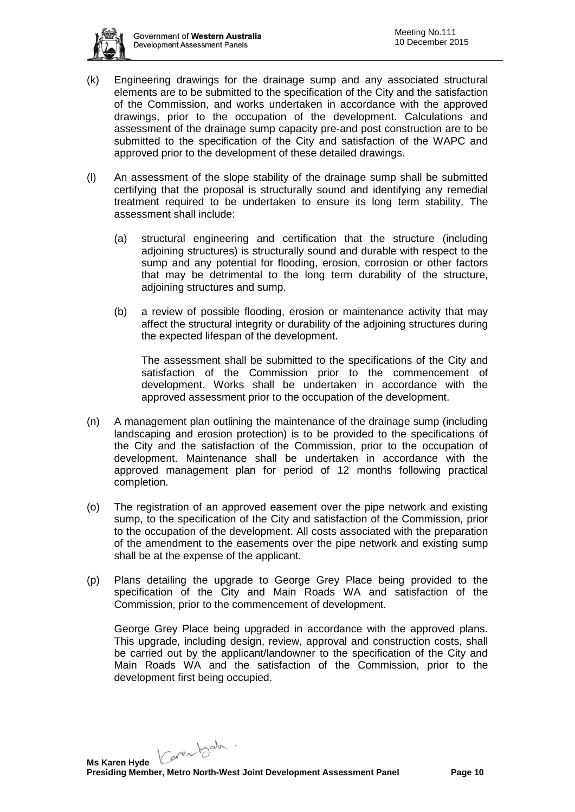

- (k) Engineering drawings for the drainage sump and any associated structural elements are to be submitted to the specification of the City and the satisfaction of the Commission, and works undertaken in accordance with the approved drawings, prior to the occupation of the development. Calculations and assessment of the drainage sump capacity pre-and post construction are to be submitted to the specification of the City and satisfaction of the WAPC and approved prior to the development of these detailed drawings.
- (l) An assessment of the slope stability of the drainage sump shall be submitted certifying that the proposal is structurally sound and identifying any remedial treatment required to be undertaken to ensure its long term stability. The assessment shall include:
	- (a) structural engineering and certification that the structure (including adjoining structures) is structurally sound and durable with respect to the sump and any potential for flooding, erosion, corrosion or other factors that may be detrimental to the long term durability of the structure, adjoining structures and sump.
	- (b) a review of possible flooding, erosion or maintenance activity that may affect the structural integrity or durability of the adjoining structures during the expected lifespan of the development.

The assessment shall be submitted to the specifications of the City and satisfaction of the Commission prior to the commencement of development. Works shall be undertaken in accordance with the approved assessment prior to the occupation of the development.

- (n) A management plan outlining the maintenance of the drainage sump (including landscaping and erosion protection) is to be provided to the specifications of the City and the satisfaction of the Commission, prior to the occupation of development. Maintenance shall be undertaken in accordance with the approved management plan for period of 12 months following practical completion.
- (o) The registration of an approved easement over the pipe network and existing sump, to the specification of the City and satisfaction of the Commission, prior to the occupation of the development. All costs associated with the preparation of the amendment to the easements over the pipe network and existing sump shall be at the expense of the applicant.
- (p) Plans detailing the upgrade to George Grey Place being provided to the specification of the City and Main Roads WA and satisfaction of the Commission, prior to the commencement of development.

George Grey Place being upgraded in accordance with the approved plans. This upgrade, including design, review, approval and construction costs, shall be carried out by the applicant/landowner to the specification of the City and Main Roads WA and the satisfaction of the Commission, prior to the development first being occupied.

Carentsch.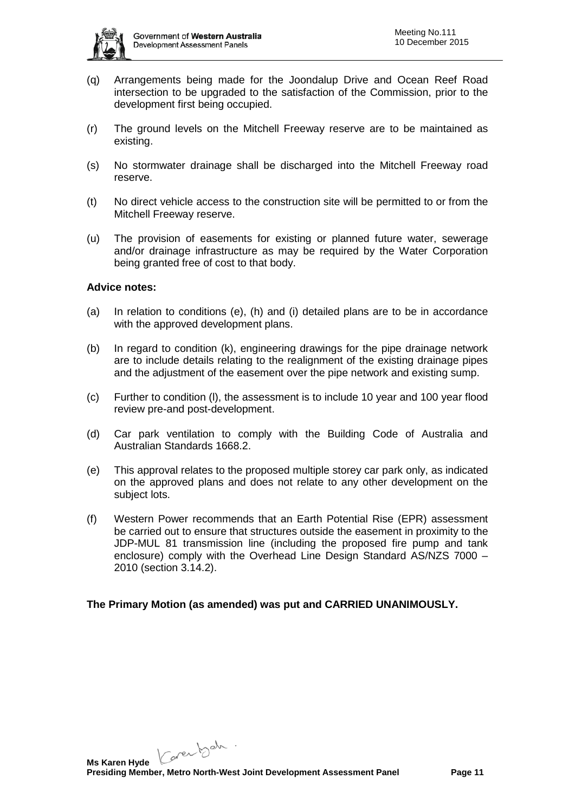

- (q) Arrangements being made for the Joondalup Drive and Ocean Reef Road intersection to be upgraded to the satisfaction of the Commission, prior to the development first being occupied.
- (r) The ground levels on the Mitchell Freeway reserve are to be maintained as existing.
- (s) No stormwater drainage shall be discharged into the Mitchell Freeway road reserve.
- (t) No direct vehicle access to the construction site will be permitted to or from the Mitchell Freeway reserve.
- (u) The provision of easements for existing or planned future water, sewerage and/or drainage infrastructure as may be required by the Water Corporation being granted free of cost to that body.

### **Advice notes:**

- (a) In relation to conditions (e), (h) and (i) detailed plans are to be in accordance with the approved development plans.
- (b) In regard to condition (k), engineering drawings for the pipe drainage network are to include details relating to the realignment of the existing drainage pipes and the adjustment of the easement over the pipe network and existing sump.
- (c) Further to condition (l), the assessment is to include 10 year and 100 year flood review pre-and post-development.
- (d) Car park ventilation to comply with the Building Code of Australia and Australian Standards 1668.2.
- (e) This approval relates to the proposed multiple storey car park only, as indicated on the approved plans and does not relate to any other development on the subject lots.
- (f) Western Power recommends that an Earth Potential Rise (EPR) assessment be carried out to ensure that structures outside the easement in proximity to the JDP-MUL 81 transmission line (including the proposed fire pump and tank enclosure) comply with the Overhead Line Design Standard AS/NZS 7000 – 2010 (section 3.14.2).

# **The Primary Motion (as amended) was put and CARRIED UNANIMOUSLY.**

Karentsch.